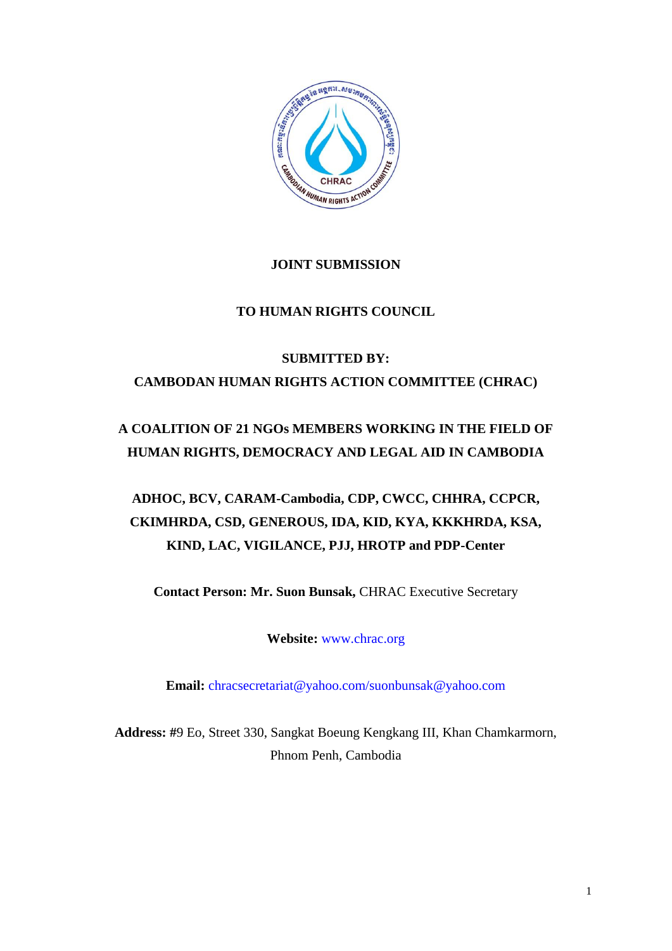

# **JOINT SUBMISSION**

# **TO HUMAN RIGHTS COUNCIL**

# **SUBMITTED BY: CAMBODAN HUMAN RIGHTS ACTION COMMITTEE (CHRAC)**

# **A COALITION OF 21 NGOs MEMBERS WORKING IN THE FIELD OF HUMAN RIGHTS, DEMOCRACY AND LEGAL AID IN CAMBODIA**

# **ADHOC, BCV, CARAM-Cambodia, CDP, CWCC, CHHRA, CCPCR, CKIMHRDA, CSD, GENEROUS, IDA, KID, KYA, KKKHRDA, KSA, KIND, LAC, VIGILANCE, PJJ, HROTP and PDP-Center**

**Contact Person: Mr. Suon Bunsak,** CHRAC Executive Secretary

**Website:** [www.chrac.org](http://www.chrac.org/)

**Email:** [chracsecretariat@yahoo.com/suonbunsak@yahoo.com](mailto:chracsecretariat@yahoo.com/suonbunsak@yahoo.com)

**Address: #**9 Eo, Street 330, Sangkat Boeung Kengkang III, Khan Chamkarmorn, Phnom Penh, Cambodia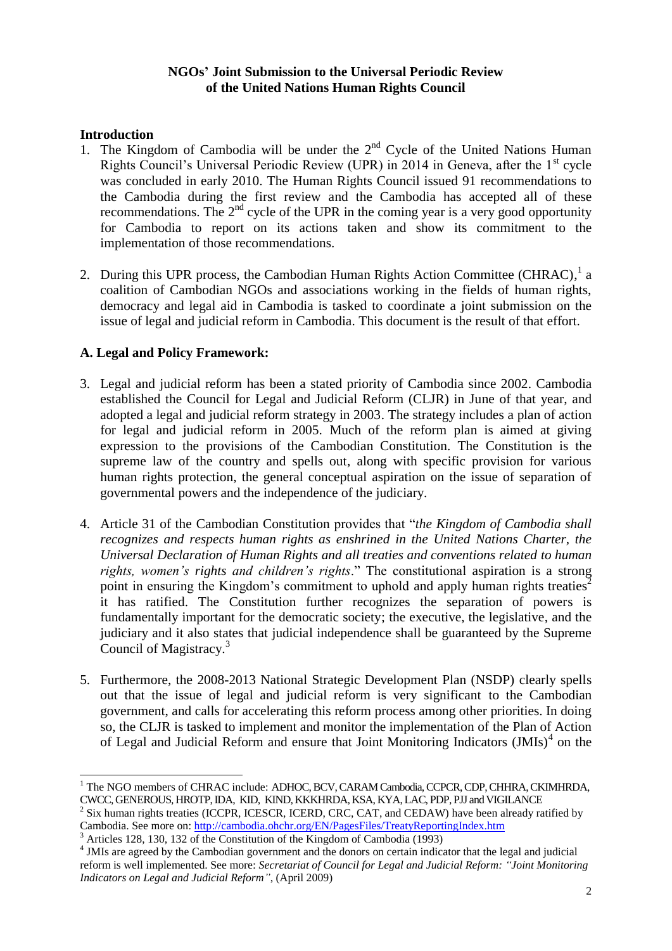#### **NGOs' Joint Submission to the Universal Periodic Review of the United Nations Human Rights Council**

#### **Introduction**

-

- 1. The Kingdom of Cambodia will be under the  $2<sup>nd</sup>$  Cycle of the United Nations Human Rights Council's Universal Periodic Review (UPR) in 2014 in Geneva, after the  $1<sup>st</sup>$  cycle was concluded in early 2010. The Human Rights Council issued 91 recommendations to the Cambodia during the first review and the Cambodia has accepted all of these recommendations. The  $2<sup>nd</sup>$  cycle of the UPR in the coming year is a very good opportunity for Cambodia to report on its actions taken and show its commitment to the implementation of those recommendations.
- 2. During this UPR process, the Cambodian Human Rights Action Committee (CHRAC),  $^1$  a coalition of Cambodian NGOs and associations working in the fields of human rights, democracy and legal aid in Cambodia is tasked to coordinate a joint submission on the issue of legal and judicial reform in Cambodia. This document is the result of that effort.

# **A. Legal and Policy Framework:**

- 3. Legal and judicial reform has been a stated priority of Cambodia since 2002. Cambodia established the Council for Legal and Judicial Reform (CLJR) in June of that year, and adopted a legal and judicial reform strategy in 2003. The strategy includes a plan of action for legal and judicial reform in 2005. Much of the reform plan is aimed at giving expression to the provisions of the Cambodian Constitution. The Constitution is the supreme law of the country and spells out, along with specific provision for various human rights protection, the general conceptual aspiration on the issue of separation of governmental powers and the independence of the judiciary.
- 4. Article 31 of the Cambodian Constitution provides that "*the Kingdom of Cambodia shall recognizes and respects human rights as enshrined in the United Nations Charter, the Universal Declaration of Human Rights and all treaties and conventions related to human rights, women's rights and children's rights*." The constitutional aspiration is a strong point in ensuring the Kingdom's commitment to uphold and apply human rights treaties<sup>2</sup> it has ratified. The Constitution further recognizes the separation of powers is fundamentally important for the democratic society; the executive, the legislative, and the judiciary and it also states that judicial independence shall be guaranteed by the Supreme Council of Magistracy.<sup>3</sup>
- 5. Furthermore, the 2008-2013 National Strategic Development Plan (NSDP) clearly spells out that the issue of legal and judicial reform is very significant to the Cambodian government, and calls for accelerating this reform process among other priorities. In doing so, the CLJR is tasked to implement and monitor the implementation of the Plan of Action of Legal and Judicial Reform and ensure that Joint Monitoring Indicators (JMIs)<sup>4</sup> on the

<sup>&</sup>lt;sup>1</sup> The NGO members of CHRAC include: ADHOC, BCV, CARAM Cambodia, CCPCR, CDP, CHHRA, CKIMHRDA, CWCC, GENEROUS, HROTP, IDA, KID, KIND, KKKHRDA, KSA, KYA, LAC, PDP, PJJ and VIGILANCE

<sup>2</sup> Six human rights treaties (ICCPR, ICESCR, ICERD, CRC, CAT, and CEDAW) have been already ratified by Cambodia. See more on:<http://cambodia.ohchr.org/EN/PagesFiles/TreatyReportingIndex.htm>

<sup>3</sup> Articles 128, 130, 132 of the Constitution of the Kingdom of Cambodia (1993)

<sup>&</sup>lt;sup>4</sup> JMIs are agreed by the Cambodian government and the donors on certain indicator that the legal and judicial reform is well implemented. See more: *Secretariat of Council for Legal and Judicial Reform: "Joint Monitoring Indicators on Legal and Judicial Reform"*, (April 2009)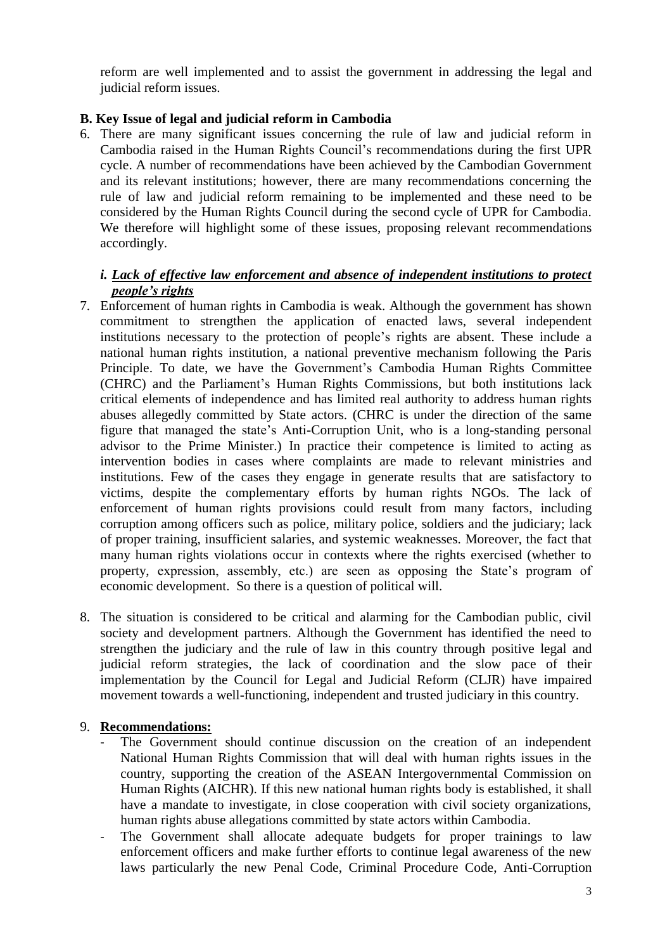reform are well implemented and to assist the government in addressing the legal and judicial reform issues.

# **B. Key Issue of legal and judicial reform in Cambodia**

6. There are many significant issues concerning the rule of law and judicial reform in Cambodia raised in the Human Rights Council's recommendations during the first UPR cycle. A number of recommendations have been achieved by the Cambodian Government and its relevant institutions; however, there are many recommendations concerning the rule of law and judicial reform remaining to be implemented and these need to be considered by the Human Rights Council during the second cycle of UPR for Cambodia. We therefore will highlight some of these issues, proposing relevant recommendations accordingly.

#### *i. Lack of effective law enforcement and absence of independent institutions to protect people's rights*

- 7. Enforcement of human rights in Cambodia is weak. Although the government has shown commitment to strengthen the application of enacted laws, several independent institutions necessary to the protection of people's rights are absent. These include a national human rights institution, a national preventive mechanism following the Paris Principle. To date, we have the Government's Cambodia Human Rights Committee (CHRC) and the Parliament's Human Rights Commissions, but both institutions lack critical elements of independence and has limited real authority to address human rights abuses allegedly committed by State actors. (CHRC is under the direction of the same figure that managed the state's Anti-Corruption Unit, who is a long-standing personal advisor to the Prime Minister.) In practice their competence is limited to acting as intervention bodies in cases where complaints are made to relevant ministries and institutions. Few of the cases they engage in generate results that are satisfactory to victims, despite the complementary efforts by human rights NGOs. The lack of enforcement of human rights provisions could result from many factors, including corruption among officers such as police, military police, soldiers and the judiciary; lack of proper training, insufficient salaries, and systemic weaknesses. Moreover, the fact that many human rights violations occur in contexts where the rights exercised (whether to property, expression, assembly, etc.) are seen as opposing the State's program of economic development. So there is a question of political will.
- 8. The situation is considered to be critical and alarming for the Cambodian public, civil society and development partners. Although the Government has identified the need to strengthen the judiciary and the rule of law in this country through positive legal and judicial reform strategies, the lack of coordination and the slow pace of their implementation by the Council for Legal and Judicial Reform (CLJR) have impaired movement towards a well-functioning, independent and trusted judiciary in this country.

#### 9. **Recommendations:**

- The Government should continue discussion on the creation of an independent National Human Rights Commission that will deal with human rights issues in the country, supporting the creation of the ASEAN Intergovernmental Commission on Human Rights (AICHR). If this new national human rights body is established, it shall have a mandate to investigate, in close cooperation with civil society organizations, human rights abuse allegations committed by state actors within Cambodia.
- The Government shall allocate adequate budgets for proper trainings to law enforcement officers and make further efforts to continue legal awareness of the new laws particularly the new Penal Code, Criminal Procedure Code, Anti-Corruption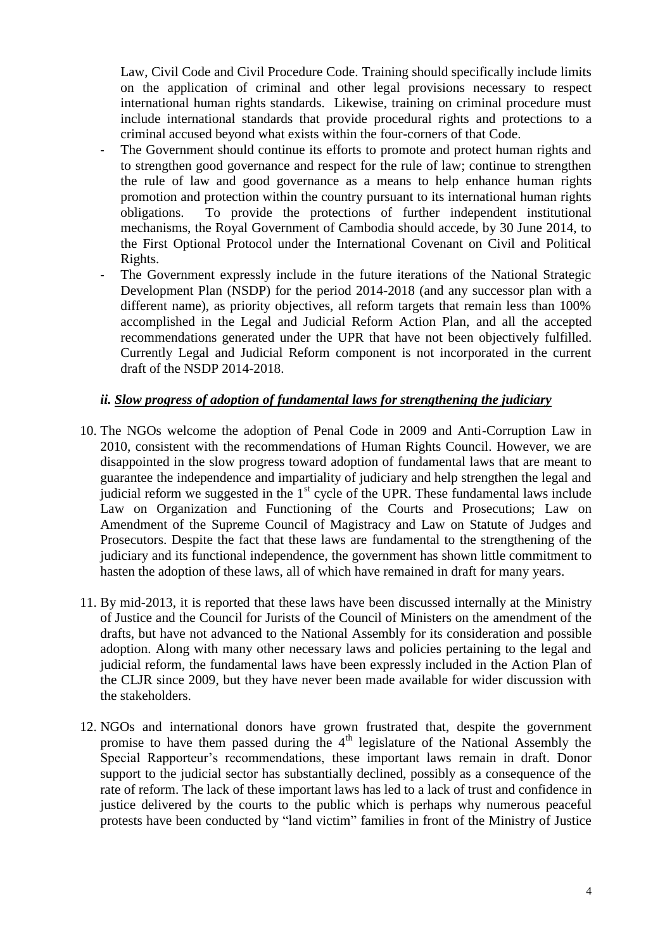Law, Civil Code and Civil Procedure Code. Training should specifically include limits on the application of criminal and other legal provisions necessary to respect international human rights standards. Likewise, training on criminal procedure must include international standards that provide procedural rights and protections to a criminal accused beyond what exists within the four-corners of that Code.

- The Government should continue its efforts to promote and protect human rights and to strengthen good governance and respect for the rule of law; continue to strengthen the rule of law and good governance as a means to help enhance human rights promotion and protection within the country pursuant to its international human rights obligations. To provide the protections of further independent institutional mechanisms, the Royal Government of Cambodia should accede, by 30 June 2014, to the First Optional Protocol under the International Covenant on Civil and Political Rights.
- The Government expressly include in the future iterations of the National Strategic Development Plan (NSDP) for the period 2014-2018 (and any successor plan with a different name), as priority objectives, all reform targets that remain less than 100% accomplished in the Legal and Judicial Reform Action Plan, and all the accepted recommendations generated under the UPR that have not been objectively fulfilled. Currently Legal and Judicial Reform component is not incorporated in the current draft of the NSDP 2014-2018.

#### *ii. Slow progress of adoption of fundamental laws for strengthening the judiciary*

- 10. The NGOs welcome the adoption of Penal Code in 2009 and Anti-Corruption Law in 2010, consistent with the recommendations of Human Rights Council. However, we are disappointed in the slow progress toward adoption of fundamental laws that are meant to guarantee the independence and impartiality of judiciary and help strengthen the legal and judicial reform we suggested in the  $1<sup>st</sup>$  cycle of the UPR. These fundamental laws include Law on Organization and Functioning of the Courts and Prosecutions; Law on Amendment of the Supreme Council of Magistracy and Law on Statute of Judges and Prosecutors. Despite the fact that these laws are fundamental to the strengthening of the judiciary and its functional independence, the government has shown little commitment to hasten the adoption of these laws, all of which have remained in draft for many years.
- 11. By mid-2013, it is reported that these laws have been discussed internally at the Ministry of Justice and the Council for Jurists of the Council of Ministers on the amendment of the drafts, but have not advanced to the National Assembly for its consideration and possible adoption. Along with many other necessary laws and policies pertaining to the legal and judicial reform, the fundamental laws have been expressly included in the Action Plan of the CLJR since 2009, but they have never been made available for wider discussion with the stakeholders.
- 12. NGOs and international donors have grown frustrated that, despite the government promise to have them passed during the 4th legislature of the National Assembly the Special Rapporteur's recommendations, these important laws remain in draft. Donor support to the judicial sector has substantially declined, possibly as a consequence of the rate of reform. The lack of these important laws has led to a lack of trust and confidence in justice delivered by the courts to the public which is perhaps why numerous peaceful protests have been conducted by "land victim" families in front of the Ministry of Justice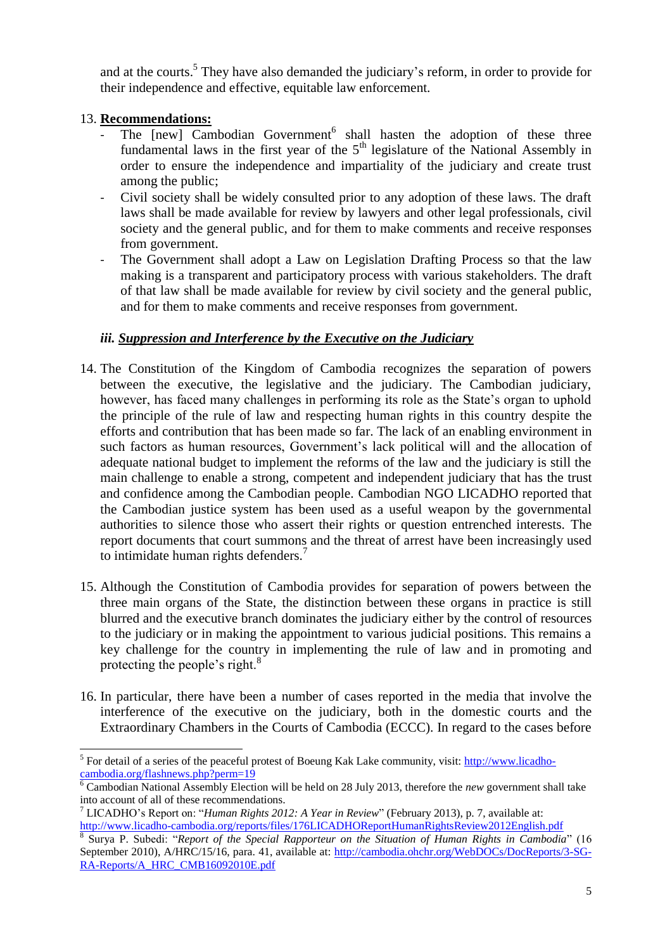and at the courts.<sup>5</sup> They have also demanded the judiciary's reform, in order to provide for their independence and effective, equitable law enforcement.

# 13. **Recommendations:**

- The [new] Cambodian Government<sup>6</sup> shall hasten the adoption of these three fundamental laws in the first year of the  $5<sup>th</sup>$  legislature of the National Assembly in order to ensure the independence and impartiality of the judiciary and create trust among the public;
- Civil society shall be widely consulted prior to any adoption of these laws. The draft laws shall be made available for review by lawyers and other legal professionals, civil society and the general public, and for them to make comments and receive responses from government.
- The Government shall adopt a Law on Legislation Drafting Process so that the law making is a transparent and participatory process with various stakeholders. The draft of that law shall be made available for review by civil society and the general public, and for them to make comments and receive responses from government.

#### *iii. Suppression and Interference by the Executive on the Judiciary*

- 14. The Constitution of the Kingdom of Cambodia recognizes the separation of powers between the executive, the legislative and the judiciary. The Cambodian judiciary, however, has faced many challenges in performing its role as the State's organ to uphold the principle of the rule of law and respecting human rights in this country despite the efforts and contribution that has been made so far. The lack of an enabling environment in such factors as human resources, Government's lack political will and the allocation of adequate national budget to implement the reforms of the law and the judiciary is still the main challenge to enable a strong, competent and independent judiciary that has the trust and confidence among the Cambodian people. Cambodian NGO LICADHO reported that the Cambodian justice system has been used as a useful weapon by the governmental authorities to silence those who assert their rights or question entrenched interests. The report documents that court summons and the threat of arrest have been increasingly used to intimidate human rights defenders.<sup>7</sup>
- 15. Although the Constitution of Cambodia provides for separation of powers between the three main organs of the State, the distinction between these organs in practice is still blurred and the executive branch dominates the judiciary either by the control of resources to the judiciary or in making the appointment to various judicial positions. This remains a key challenge for the country in implementing the rule of law and in promoting and protecting the people's right.<sup>8</sup>
- 16. In particular, there have been a number of cases reported in the media that involve the interference of the executive on the judiciary, both in the domestic courts and the Extraordinary Chambers in the Courts of Cambodia (ECCC). In regard to the cases before

<sup>5</sup> For detail of a series of the peaceful protest of Boeung Kak Lake community, visit: [http://www.licadho](http://www.licadho-cambodia.org/flashnews.php?perm=19)[cambodia.org/flashnews.php?perm=19](http://www.licadho-cambodia.org/flashnews.php?perm=19)

<sup>&</sup>lt;sup>6</sup> Cambodian National Assembly Election will be held on 28 July 2013, therefore the *new* government shall take into account of all of these recommendations.

<sup>7</sup> LICADHO's Report on: "*Human Rights 2012: A Year in Review*" (February 2013), p. 7, available at: <http://www.licadho-cambodia.org/reports/files/176LICADHOReportHumanRightsReview2012English.pdf>

<sup>8</sup> Surya P. Subedi: "*Report of the Special Rapporteur on the Situation of Human Rights in Cambodia*" (16 September 2010), A/HRC/15/16, para. 41, available at: [http://cambodia.ohchr.org/WebDOCs/DocReports/3-SG-](http://cambodia.ohchr.org/WebDOCs/DocReports/3-SG-RA-Reports/A_HRC_CMB16092010E.pdf)[RA-Reports/A\\_HRC\\_CMB16092010E.pdf](http://cambodia.ohchr.org/WebDOCs/DocReports/3-SG-RA-Reports/A_HRC_CMB16092010E.pdf)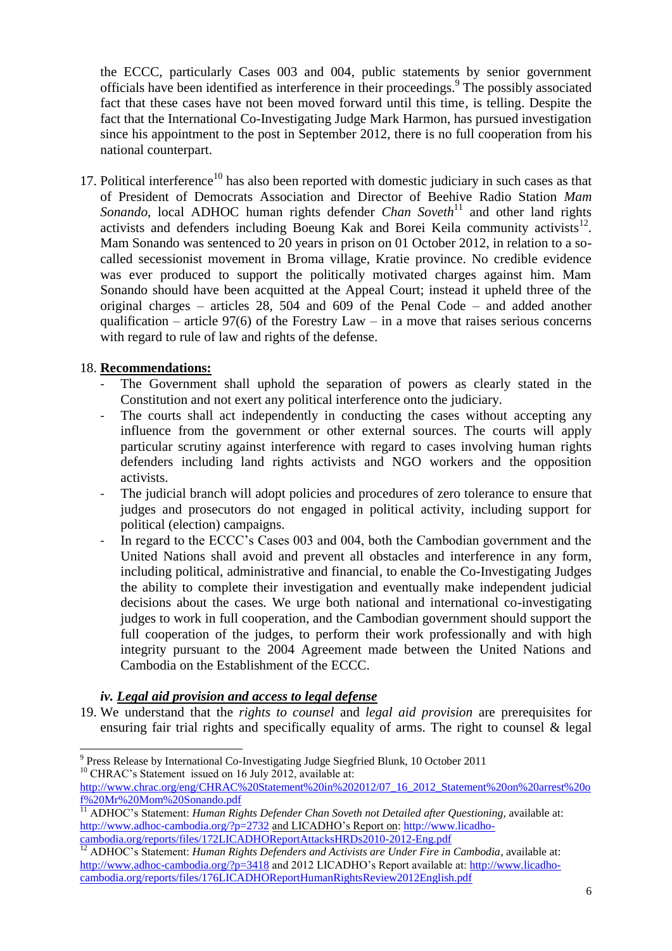the ECCC, particularly Cases 003 and 004, public statements by senior government officials have been identified as interference in their proceedings. 9 The possibly associated fact that these cases have not been moved forward until this time, is telling. Despite the fact that the International Co-Investigating Judge Mark Harmon, has pursued investigation since his appointment to the post in September 2012, there is no full cooperation from his national counterpart.

17. Political interference<sup>10</sup> has also been reported with domestic judiciary in such cases as that of President of Democrats Association and Director of Beehive Radio Station *Mam Sonando*, local ADHOC human rights defender *Chan Soveth*<sup>11</sup> and other land rights activists and defenders including Boeung Kak and Borei Keila community activists $12$ . Mam Sonando was sentenced to 20 years in prison on 01 October 2012, in relation to a socalled secessionist movement in Broma village, Kratie province. No credible evidence was ever produced to support the politically motivated charges against him. Mam Sonando should have been acquitted at the Appeal Court; instead it upheld three of the original charges – articles 28, 504 and 609 of the Penal Code – and added another qualification – article 97(6) of the Forestry Law – in a move that raises serious concerns with regard to rule of law and rights of the defense.

#### 18. **Recommendations:**

- The Government shall uphold the separation of powers as clearly stated in the Constitution and not exert any political interference onto the judiciary.
- The courts shall act independently in conducting the cases without accepting any influence from the government or other external sources. The courts will apply particular scrutiny against interference with regard to cases involving human rights defenders including land rights activists and NGO workers and the opposition activists.
- The judicial branch will adopt policies and procedures of zero tolerance to ensure that judges and prosecutors do not engaged in political activity, including support for political (election) campaigns.
- In regard to the ECCC's Cases 003 and 004, both the Cambodian government and the United Nations shall avoid and prevent all obstacles and interference in any form, including political, administrative and financial, to enable the Co-Investigating Judges the ability to complete their investigation and eventually make independent judicial decisions about the cases. We urge both national and international co-investigating judges to work in full cooperation, and the Cambodian government should support the full cooperation of the judges, to perform their work professionally and with high integrity pursuant to the 2004 Agreement made between the United Nations and Cambodia on the Establishment of the ECCC.

#### *iv. Legal aid provision and access to legal defense*

19. We understand that the *rights to counsel* and *legal aid provision* are prerequisites for ensuring fair trial rights and specifically equality of arms. The right to counsel & legal

Press Release by International Co-Investigating Judge Siegfried Blunk, 10 October 2011 <sup>10</sup> CHRAC's Statement issued on 16 July 2012, available at:

[http://www.chrac.org/eng/CHRAC%20Statement%20in%202012/07\\_16\\_2012\\_Statement%20on%20arrest%20o](http://www.chrac.org/eng/CHRAC%20Statement%20in%202012/07_16_2012_Statement%20on%20arrest%20of%20Mr%20Mom%20Sonando.pdf) [f%20Mr%20Mom%20Sonando.pdf](http://www.chrac.org/eng/CHRAC%20Statement%20in%202012/07_16_2012_Statement%20on%20arrest%20of%20Mr%20Mom%20Sonando.pdf)

<sup>11</sup> ADHOC's Statement: *Human Rights Defender Chan Soveth not Detailed after Questioning*, available at: <http://www.adhoc-cambodia.org/?p=2732> and LICADHO's Report on: [http://www.licadho](http://www.licadho-cambodia.org/reports/files/172LICADHOReportAttacksHRDs2010-2012-Eng.pdf)[cambodia.org/reports/files/172LICADHOReportAttacksHRDs2010-2012-Eng.pdf](http://www.licadho-cambodia.org/reports/files/172LICADHOReportAttacksHRDs2010-2012-Eng.pdf)

<sup>&</sup>lt;sup>12</sup> ADHOC's Statement: *Human Rights Defenders and Activists are Under Fire in Cambodia*, available at: <http://www.adhoc-cambodia.org/?p=3418> and 2012 LICADHO's Report available at: [http://www.licadho](http://www.licadho-cambodia.org/reports/files/176LICADHOReportHumanRightsReview2012English.pdf)[cambodia.org/reports/files/176LICADHOReportHumanRightsReview2012English.pdf](http://www.licadho-cambodia.org/reports/files/176LICADHOReportHumanRightsReview2012English.pdf)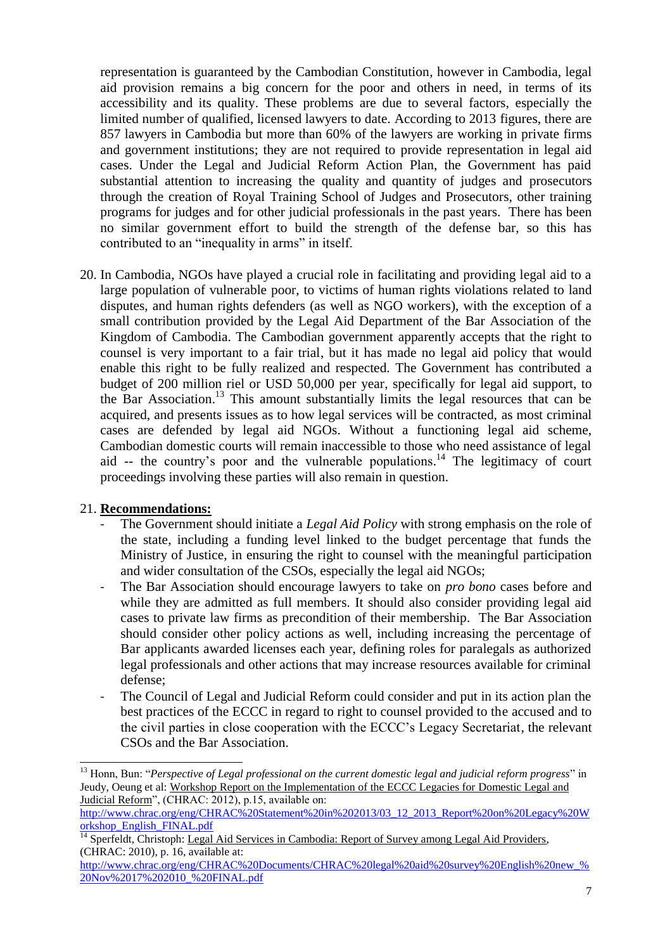representation is guaranteed by the Cambodian Constitution, however in Cambodia, legal aid provision remains a big concern for the poor and others in need, in terms of its accessibility and its quality. These problems are due to several factors, especially the limited number of qualified, licensed lawyers to date. According to 2013 figures, there are 857 lawyers in Cambodia but more than 60% of the lawyers are working in private firms and government institutions; they are not required to provide representation in legal aid cases. Under the Legal and Judicial Reform Action Plan, the Government has paid substantial attention to increasing the quality and quantity of judges and prosecutors through the creation of Royal Training School of Judges and Prosecutors, other training programs for judges and for other judicial professionals in the past years. There has been no similar government effort to build the strength of the defense bar, so this has contributed to an "inequality in arms" in itself.

20. In Cambodia, NGOs have played a crucial role in facilitating and providing legal aid to a large population of vulnerable poor, to victims of human rights violations related to land disputes, and human rights defenders (as well as NGO workers), with the exception of a small contribution provided by the Legal Aid Department of the Bar Association of the Kingdom of Cambodia. The Cambodian government apparently accepts that the right to counsel is very important to a fair trial, but it has made no legal aid policy that would enable this right to be fully realized and respected. The Government has contributed a budget of 200 million riel or USD 50,000 per year, specifically for legal aid support, to the Bar Association. <sup>13</sup> This amount substantially limits the legal resources that can be acquired, and presents issues as to how legal services will be contracted, as most criminal cases are defended by legal aid NGOs. Without a functioning legal aid scheme, Cambodian domestic courts will remain inaccessible to those who need assistance of legal aid -- the country's poor and the vulnerable populations.<sup>14</sup> The legitimacy of court proceedings involving these parties will also remain in question.

#### 21. **Recommendations:**

- The Government should initiate a *Legal Aid Policy* with strong emphasis on the role of the state, including a funding level linked to the budget percentage that funds the Ministry of Justice, in ensuring the right to counsel with the meaningful participation and wider consultation of the CSOs, especially the legal aid NGOs;
- The Bar Association should encourage lawyers to take on *pro bono* cases before and while they are admitted as full members. It should also consider providing legal aid cases to private law firms as precondition of their membership. The Bar Association should consider other policy actions as well, including increasing the percentage of Bar applicants awarded licenses each year, defining roles for paralegals as authorized legal professionals and other actions that may increase resources available for criminal defense;
- The Council of Legal and Judicial Reform could consider and put in its action plan the best practices of the ECCC in regard to right to counsel provided to the accused and to the civil parties in close cooperation with the ECCC's Legacy Secretariat, the relevant CSOs and the Bar Association.

<sup>-</sup><sup>13</sup> Honn, Bun: "*Perspective of Legal professional on the current domestic legal and judicial reform progress*" in Jeudy, Oeung et al: Workshop Report on the Implementation of the ECCC Legacies for Domestic Legal and Judicial Reform", (CHRAC: 2012), p.15, available on:

[http://www.chrac.org/eng/CHRAC%20Statement%20in%202013/03\\_12\\_2013\\_Report%20on%20Legacy%20W](http://www.chrac.org/eng/CHRAC%20Statement%20in%202013/03_12_2013_Report%20on%20Legacy%20Workshop_English_FINAL.pdf) [orkshop\\_English\\_FINAL.pdf](http://www.chrac.org/eng/CHRAC%20Statement%20in%202013/03_12_2013_Report%20on%20Legacy%20Workshop_English_FINAL.pdf)

<sup>14</sup> Sperfeldt, Christoph: Legal Aid Services in Cambodia: Report of Survey among Legal Aid Providers, (CHRAC: 2010), p. 16, available at:

[http://www.chrac.org/eng/CHRAC%20Documents/CHRAC%20legal%20aid%20survey%20English%20new\\_%](http://www.chrac.org/eng/CHRAC%20Documents/CHRAC%20legal%20aid%20survey%20English%20new_%20Nov%2017%202010_%20FINAL.pdf) [20Nov%2017%202010\\_%20FINAL.pdf](http://www.chrac.org/eng/CHRAC%20Documents/CHRAC%20legal%20aid%20survey%20English%20new_%20Nov%2017%202010_%20FINAL.pdf)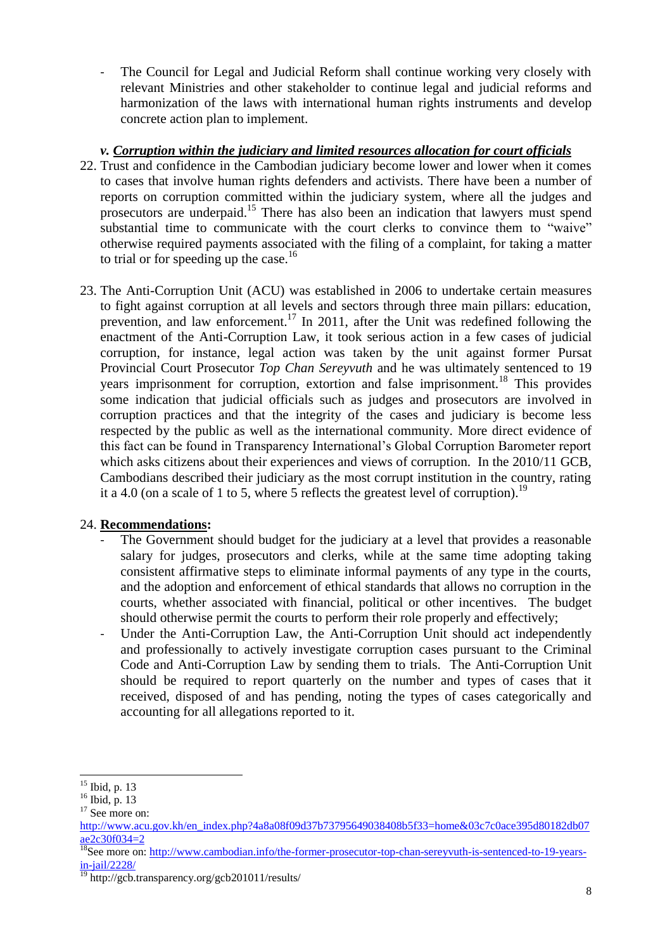The Council for Legal and Judicial Reform shall continue working very closely with relevant Ministries and other stakeholder to continue legal and judicial reforms and harmonization of the laws with international human rights instruments and develop concrete action plan to implement.

# *v. Corruption within the judiciary and limited resources allocation for court officials*

- 22. Trust and confidence in the Cambodian judiciary become lower and lower when it comes to cases that involve human rights defenders and activists. There have been a number of reports on corruption committed within the judiciary system, where all the judges and prosecutors are underpaid.<sup>15</sup> There has also been an indication that lawyers must spend substantial time to communicate with the court clerks to convince them to "waive" otherwise required payments associated with the filing of a complaint, for taking a matter to trial or for speeding up the case.<sup>16</sup>
- 23. The Anti-Corruption Unit (ACU) was established in 2006 to undertake certain measures to fight against corruption at all levels and sectors through three main pillars: education, prevention, and law enforcement.<sup>17</sup> In 2011, after the Unit was redefined following the enactment of the Anti-Corruption Law, it took serious action in a few cases of judicial corruption, for instance, legal action was taken by the unit against former Pursat Provincial Court Prosecutor *Top Chan Sereyvuth* and he was ultimately sentenced to 19 years imprisonment for corruption, extortion and false imprisonment.<sup>18</sup> This provides some indication that judicial officials such as judges and prosecutors are involved in corruption practices and that the integrity of the cases and judiciary is become less respected by the public as well as the international community. More direct evidence of this fact can be found in Transparency International's Global Corruption Barometer report which asks citizens about their experiences and views of corruption. In the 2010/11 GCB, Cambodians described their judiciary as the most corrupt institution in the country, rating it a 4.0 (on a scale of 1 to 5, where 5 reflects the greatest level of corruption).<sup>19</sup>

# 24. **Recommendations:**

- The Government should budget for the judiciary at a level that provides a reasonable salary for judges, prosecutors and clerks, while at the same time adopting taking consistent affirmative steps to eliminate informal payments of any type in the courts, and the adoption and enforcement of ethical standards that allows no corruption in the courts, whether associated with financial, political or other incentives. The budget should otherwise permit the courts to perform their role properly and effectively;
- Under the Anti-Corruption Law, the Anti-Corruption Unit should act independently and professionally to actively investigate corruption cases pursuant to the Criminal Code and Anti-Corruption Law by sending them to trials. The Anti-Corruption Unit should be required to report quarterly on the number and types of cases that it received, disposed of and has pending, noting the types of cases categorically and accounting for all allegations reported to it.

-

 $15$  Ibid, p. 13

 $^{16}$  Ibid, p. 13

<sup>&</sup>lt;sup>17</sup> See more on:

[http://www.acu.gov.kh/en\\_index.php?4a8a08f09d37b73795649038408b5f33=home&03c7c0ace395d80182db07](http://www.acu.gov.kh/en_index.php?4a8a08f09d37b73795649038408b5f33=home&03c7c0ace395d80182db07ae2c30f034=2) [ae2c30f034=2](http://www.acu.gov.kh/en_index.php?4a8a08f09d37b73795649038408b5f33=home&03c7c0ace395d80182db07ae2c30f034=2)

<sup>&</sup>lt;sup>18</sup>See more on[: http://www.cambodian.info/the-former-prosecutor-top-chan-sereyvuth-is-sentenced-to-19-years](http://www.cambodian.info/the-former-prosecutor-top-chan-sereyvuth-is-sentenced-to-19-years-in-jail/2228/)[in-jail/2228/](http://www.cambodian.info/the-former-prosecutor-top-chan-sereyvuth-is-sentenced-to-19-years-in-jail/2228/)

<sup>&</sup>lt;sup>19</sup> http://gcb.transparency.org/gcb201011/results/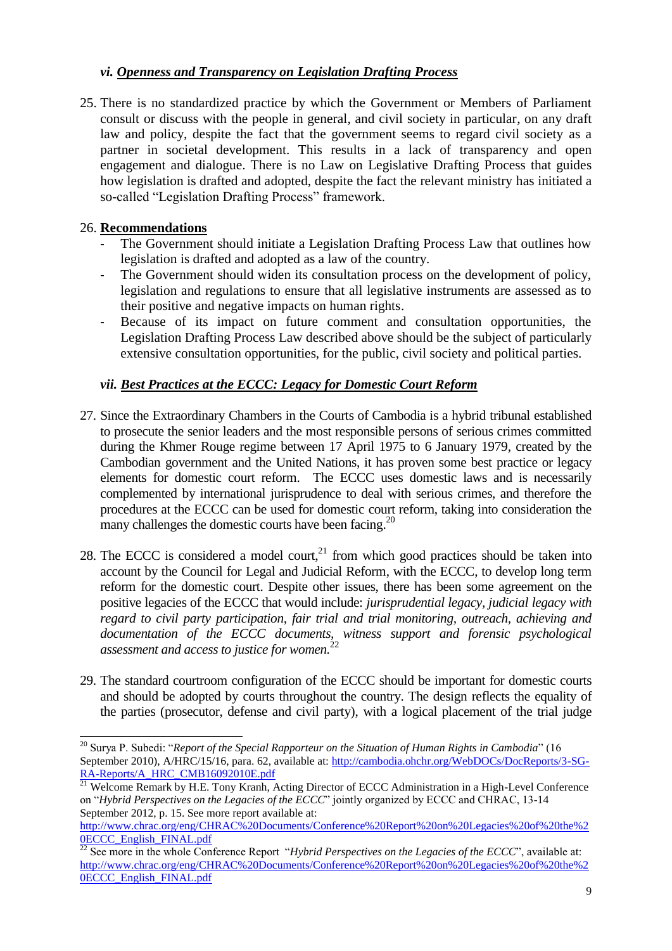# *vi. Openness and Transparency on Legislation Drafting Process*

25. There is no standardized practice by which the Government or Members of Parliament consult or discuss with the people in general, and civil society in particular, on any draft law and policy, despite the fact that the government seems to regard civil society as a partner in societal development. This results in a lack of transparency and open engagement and dialogue. There is no Law on Legislative Drafting Process that guides how legislation is drafted and adopted, despite the fact the relevant ministry has initiated a so-called "Legislation Drafting Process" framework.

#### 26. **Recommendations**

1

- The Government should initiate a Legislation Drafting Process Law that outlines how legislation is drafted and adopted as a law of the country.
- The Government should widen its consultation process on the development of policy, legislation and regulations to ensure that all legislative instruments are assessed as to their positive and negative impacts on human rights.
- Because of its impact on future comment and consultation opportunities, the Legislation Drafting Process Law described above should be the subject of particularly extensive consultation opportunities, for the public, civil society and political parties.

# *vii. Best Practices at the ECCC: Legacy for Domestic Court Reform*

- 27. Since the Extraordinary Chambers in the Courts of Cambodia is a hybrid tribunal established to prosecute the senior leaders and the most responsible persons of serious crimes committed during the Khmer Rouge regime between 17 April 1975 to 6 January 1979, created by the Cambodian government and the United Nations, it has proven some best practice or legacy elements for domestic court reform. The ECCC uses domestic laws and is necessarily complemented by international jurisprudence to deal with serious crimes, and therefore the procedures at the ECCC can be used for domestic court reform, taking into consideration the many challenges the domestic courts have been facing.<sup>20</sup>
- 28. The ECCC is considered a model court, $^{21}$  from which good practices should be taken into account by the Council for Legal and Judicial Reform, with the ECCC, to develop long term reform for the domestic court. Despite other issues, there has been some agreement on the positive legacies of the ECCC that would include: *jurisprudential legacy, judicial legacy with regard to civil party participation, fair trial and trial monitoring, outreach, achieving and documentation of the ECCC documents, witness support and forensic psychological assessment and access to justice for women.* 22
- 29. The standard courtroom configuration of the ECCC should be important for domestic courts and should be adopted by courts throughout the country. The design reflects the equality of the parties (prosecutor, defense and civil party), with a logical placement of the trial judge

<sup>20</sup> Surya P. Subedi: "*Report of the Special Rapporteur on the Situation of Human Rights in Cambodia*" (16 September 2010), A/HRC/15/16, para. 62, available at: [http://cambodia.ohchr.org/WebDOCs/DocReports/3-SG-](http://cambodia.ohchr.org/WebDOCs/DocReports/3-SG-RA-Reports/A_HRC_CMB16092010E.pdf)[RA-Reports/A\\_HRC\\_CMB16092010E.pdf](http://cambodia.ohchr.org/WebDOCs/DocReports/3-SG-RA-Reports/A_HRC_CMB16092010E.pdf)

<sup>&</sup>lt;sup>21</sup> Welcome Remark by H.E. Tony Kranh, Acting Director of ECCC Administration in a High-Level Conference on "*Hybrid Perspectives on the Legacies of the ECCC*" jointly organized by ECCC and CHRAC, 13-14 September 2012, p. 15. See more report available at:

[http://www.chrac.org/eng/CHRAC%20Documents/Conference%20Report%20on%20Legacies%20of%20the%2](http://www.chrac.org/eng/CHRAC%20Documents/Conference%20Report%20on%20Legacies%20of%20the%20ECCC_English_FINAL.pdf) OECCC\_English\_FINAL.pdf

 $\frac{22}{22}$  See more in the whole Conference Report "*Hybrid Perspectives on the Legacies of the ECCC*", available at: [http://www.chrac.org/eng/CHRAC%20Documents/Conference%20Report%20on%20Legacies%20of%20the%2](http://www.chrac.org/eng/CHRAC%20Documents/Conference%20Report%20on%20Legacies%20of%20the%20ECCC_English_FINAL.pdf) [0ECCC\\_English\\_FINAL.pdf](http://www.chrac.org/eng/CHRAC%20Documents/Conference%20Report%20on%20Legacies%20of%20the%20ECCC_English_FINAL.pdf)